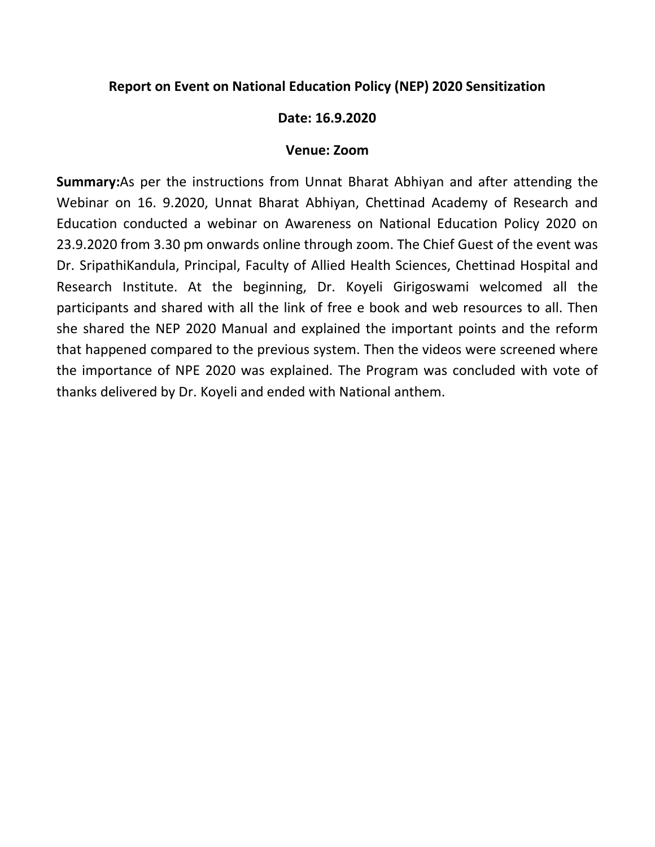## Report on Event on National Education Policy (NEP) 2020 Sensitization

## Date: 16.9.2020

## Venue: Zoom

Summary:As per the instructions from Unnat Bharat Abhiyan and after attending the Webinar on 16. 9.2020, Unnat Bharat Abhiyan, Chettinad Academy of Research and Education conducted a webinar on Awareness on National Education Policy 2020 on 23.9.2020 from 3.30 pm onwards online through zoom. The Chief Guest of the event was Dr. SripathiKandula, Principal, Faculty of Allied Health Sciences, Chettinad Hospital and Research Institute. At the beginning, Dr. Koyeli Girigoswami welcomed all the participants and shared with all the link of free e book and web resources to all. Then she shared the NEP 2020 Manual and explained the important points and the reform that happened compared to the previous system. Then the videos were screened where the importance of NPE 2020 was explained. The Program was concluded with vote of thanks delivered by Dr. Koyeli and ended with National anthem.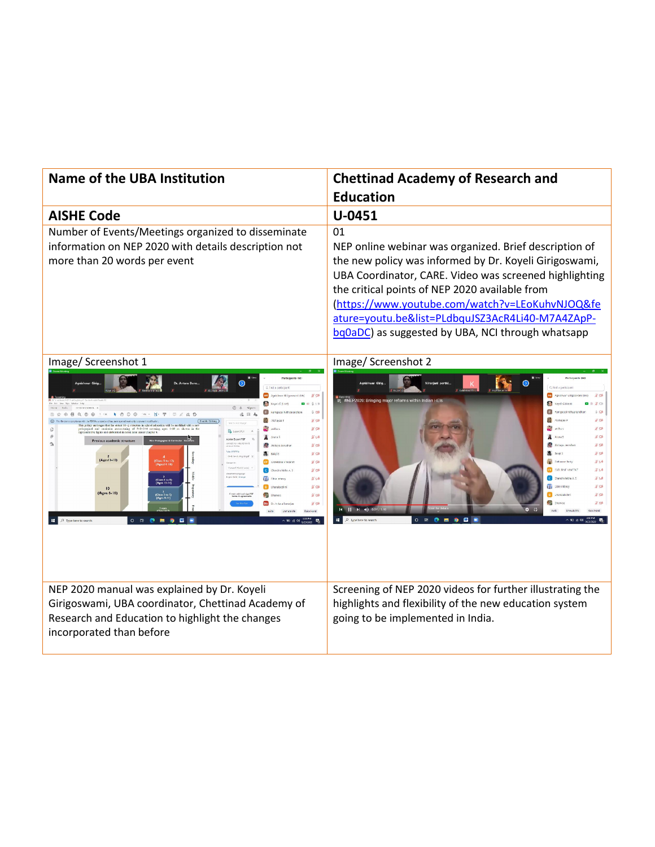| <b>Name of the UBA Institution</b>                                                                                                                                                                                                                                                                                                                                                                                                                                                                                                                                                                                                                                                                                                                                                                                                                                               | <b>Chettinad Academy of Research and</b><br><b>Education</b>                                                                                                                                                                                                                                                                                                                                                                                                                                                                                                                          |
|----------------------------------------------------------------------------------------------------------------------------------------------------------------------------------------------------------------------------------------------------------------------------------------------------------------------------------------------------------------------------------------------------------------------------------------------------------------------------------------------------------------------------------------------------------------------------------------------------------------------------------------------------------------------------------------------------------------------------------------------------------------------------------------------------------------------------------------------------------------------------------|---------------------------------------------------------------------------------------------------------------------------------------------------------------------------------------------------------------------------------------------------------------------------------------------------------------------------------------------------------------------------------------------------------------------------------------------------------------------------------------------------------------------------------------------------------------------------------------|
| <b>AISHE Code</b>                                                                                                                                                                                                                                                                                                                                                                                                                                                                                                                                                                                                                                                                                                                                                                                                                                                                | U-0451                                                                                                                                                                                                                                                                                                                                                                                                                                                                                                                                                                                |
| Number of Events/Meetings organized to disseminate<br>information on NEP 2020 with details description not<br>more than 20 words per event                                                                                                                                                                                                                                                                                                                                                                                                                                                                                                                                                                                                                                                                                                                                       | 01<br>NEP online webinar was organized. Brief description of<br>the new policy was informed by Dr. Koyeli Girigoswami,<br>UBA Coordinator, CARE. Video was screened highlighting<br>the critical points of NEP 2020 available from<br>(https://www.youtube.com/watch?v=LEoKuhvNJOQ&fe<br>ature=youtu.be&list=PLdbquJSZ3AcR4Li40-M7A4ZApP-<br>bq0aDC) as suggested by UBA, NCI through whatsapp                                                                                                                                                                                        |
| Image/ Screenshot 1<br>Participants (60<br>C, Find a participan<br>$\frac{M}{2}$ Gi<br>0 <sub>x</sub><br>$A \Omega$<br>22.1<br>立作<br><b>Akshavaal</b><br>¥ ga<br>in school education will be modified with<br><b>新型</b><br>popuon auo cumentar restructumo of 3+3+3+4 covening ages 3+18 av<br>sentrive figure and chiberated in demil later under Chapter 4.<br>SV4<br>vigus academic structure<br>Atchcya Jeevaha<br>$%$ pai<br>all salais<br>$K$ GA<br>$2$<br>(Ages16-18)<br>Class 9 to 12<br>Cheest 4, 18)<br>CV CATHRINE V NCENT<br>#G8<br>C Chandra lekha A 3<br>$%$ Ga<br>reamont Languago<br>Inglici (U.S.): Crange<br>E Chie niano<br>$81$ $\sqrt{4}$<br>(Class 6 to 8)<br>(Ages 11-14)<br>8 <sub>°</sub><br>10<br>(Ages 6-16)<br>$%$ can<br>(Class 3 to 5)<br>(Ages 8-11)<br>8 <sub>0</sub><br>P Type here to search<br>$O$ $\Box$<br>0 <sub>m</sub><br>$\bullet$<br>儮 | Image/ Screenshot 2<br>Participants (68)<br>Niraniani parthi.<br>C. Find a participa<br>AG Agnishvar Girigoswami (Mc<br>#NEP2020: Bringing major reforms within Indian HEIs<br><b>CONCI GIHOST</b><br>30 <sup>o</sup><br>R<br>9 <sub>Q</sub><br>Achayas P<br>$# \n  o$<br>R<br>$#$ Gir<br>an the a<br>$\mathbb Z$ can<br>$\frac{y}{R}$ or<br><b>A</b> Balais<br>$\chi$ can<br>Cathanne Basty<br>差 い<br><b>BY LOND DIST VISION</b><br>X <sub>0</sub><br>$\frac{N}{2}$ $\frac{1}{2}$<br>Chandra Irina A.S.<br><b>A</b> Cible Infence<br>$\mathcal{X}$ col<br>2 a<br>$\approx$ $\approx$ |
| NEP 2020 manual was explained by Dr. Koyeli<br>Girigoswami, UBA coordinator, Chettinad Academy of<br>Research and Education to highlight the changes<br>incorporated than before                                                                                                                                                                                                                                                                                                                                                                                                                                                                                                                                                                                                                                                                                                 | Screening of NEP 2020 videos for further illustrating the<br>highlights and flexibility of the new education system<br>going to be implemented in India.                                                                                                                                                                                                                                                                                                                                                                                                                              |